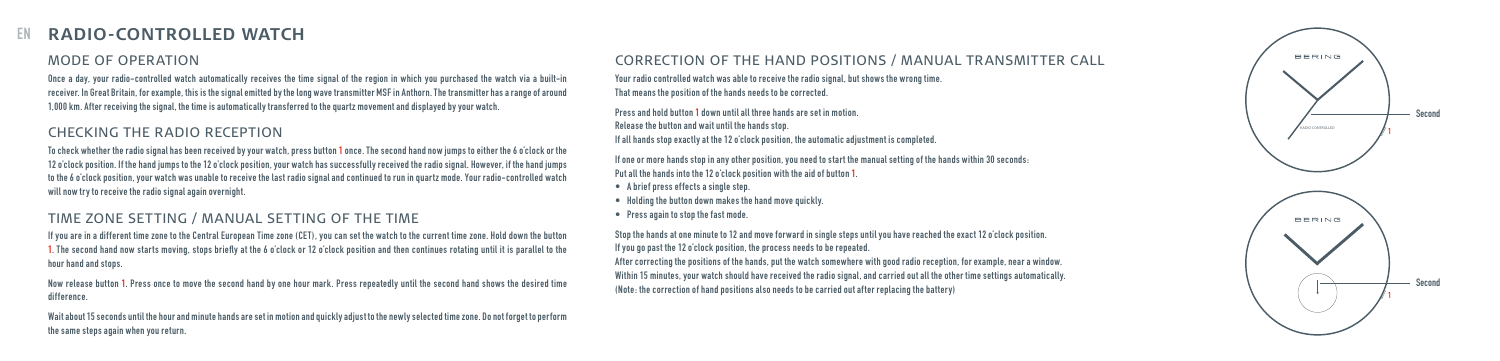#### **RADIO-CONTROLLED WATCH**  EN

## MODE OF OPERATION

Once a day, your radio-controlled watch automatically receives the time signal of the region in which you purchased the watch via a built-in receiver. In Great Britain, for example, this is the signal emitted by the long wave transmitter MSF in Anthorn. The transmitter has a range of around 1,000 km. After receiving the signal, the time is automatically transferred to the quartz movement and displayed by your watch.

#### CHECKING THE RADIO RECEPTION

To check whether the radio signal has been received by your watch, press button 1 once. The second hand now jumps to either the 6 o'clock or the 12 o'clock position. If the hand jumps to the 12 o'clock position, your watch has successfully received the radio signal. However, if the hand jumps to the 6 o'clock position, your watch was unable to receive the last radio signal and continued to run in quartz mode. Your radio-controlled watch will now try to receive the radio signal again overnight.

### TIME ZONE SETTING / MANUAL SETTING OF THE TIME

If you are in a different time zone to the Central European Time zone (CET), you can set the watch to the current time zone. Hold down the button<br>1. The second hand now starts moving, stops briefly at the 6 o'clock or 12 o hour hand and stops.

Now release button 1. Press once to move the second hand by one hour mark. Press repeatedly until the second hand shows the desired time difference.

Wait about 15 seconds until the hour and minute hands are set in motion and quickly adjust to the newly selected time zone. Do not forget to perform the same steps again when you return.

#### CORRECTION OF THE HAND POSITIONS / MANUAL TRANSMITTER CALL

Your radio controlled watch was able to receive the radio signal, but shows the wrong time. That means the position of the hands needs to be corrected.

Press and hold button 1 down until all three hands are set in motion.

Release the button and wait until the hands stop.

If all hands stop exactly at the 12 o'clock position, the automatic adjustment is completed.

If one or more hands stop in any other position, you need to start the manual setting of the hands within 30 seconds: Put all the hands into the 12 o'clock position with the aid of button 1.

- • A brief press effects a single step.
- • Holding the button down makes the hand move quickly.
- • Press again to stop the fast mode.

Stop the hands at one minute to 12 and move forward in single steps until you have reached the exact 12 o'clock position. If you go past the 12 o'clock position, the process needs to be repeated.

After correcting the positions of the hands, put the watch somewhere with good radio reception, for example, near a window. Within 15 minutes, your watch should have received the radio signal, and carried out all the other time settings automatically. (Note: the correction of hand positions also needs to be carried out after replacing the battery)

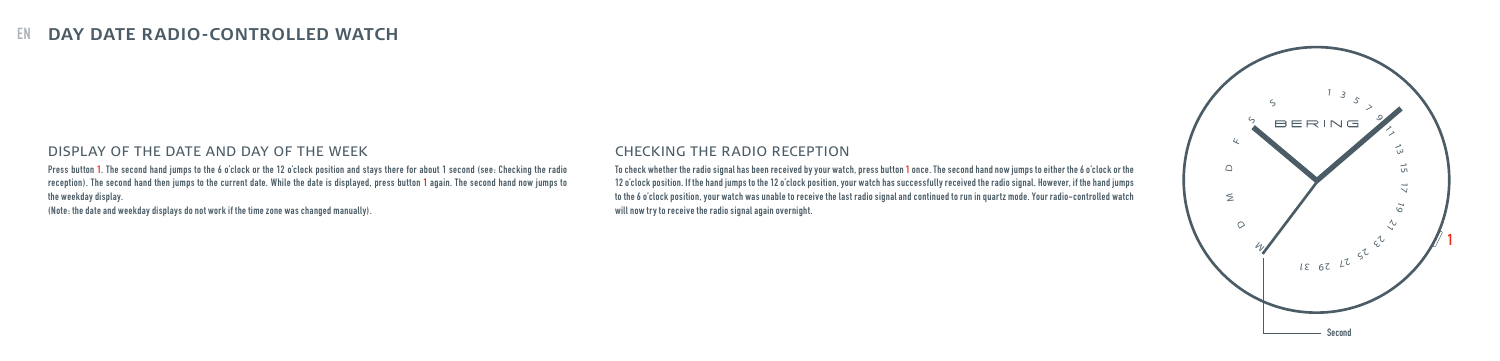# **EN DAY DATE RADIO-CONTROLLED WATCH**

#### DISPLAY OF THE DATE AND DAY OF THE WEEK

Press button 1. The second hand jumps to the 6 o'clock or the 12 o'clock position and stays there for about 1 second (see: Checking the radio reception). The second hand then jumps to the current date. While the date is displayed, press button 1 again. The second hand now jumps to the weekday display.

(Note: the date and weekday displays do not work if the time zone was changed manually).

#### CHECKING THE RADIO RECEPTION

To check whether the radio signal has been received by your watch, press button 1 once. The second hand now jumps to either the 6 o'clock or the 12 o'clock position. If the hand jumps to the 12 o'clock position, your watch has successfully received the radio signal. However, if the hand jumps to the 6 o'clock position, your watch was unable to receive the last radio signal and continued to run in quartz mode. Your radio-controlled watch will now try to receive the radio signal again overnight.